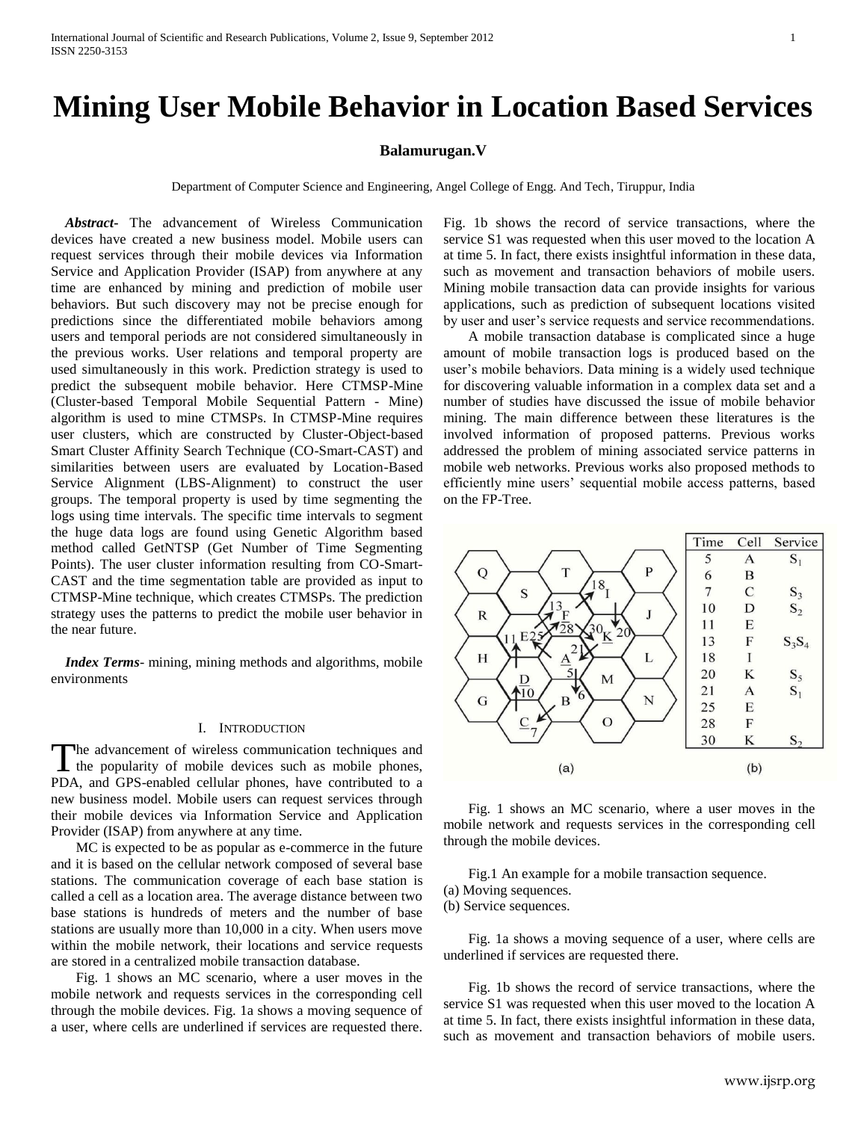# **Mining User Mobile Behavior in Location Based Services**

## **Balamurugan.V**

Department of Computer Science and Engineering, Angel College of Engg. And Tech, Tiruppur, India

 *Abstract***-** The advancement of Wireless Communication devices have created a new business model. Mobile users can request services through their mobile devices via Information Service and Application Provider (ISAP) from anywhere at any time are enhanced by mining and prediction of mobile user behaviors. But such discovery may not be precise enough for predictions since the differentiated mobile behaviors among users and temporal periods are not considered simultaneously in the previous works. User relations and temporal property are used simultaneously in this work. Prediction strategy is used to predict the subsequent mobile behavior. Here CTMSP-Mine (Cluster-based Temporal Mobile Sequential Pattern - Mine) algorithm is used to mine CTMSPs. In CTMSP-Mine requires user clusters, which are constructed by Cluster-Object-based Smart Cluster Affinity Search Technique (CO-Smart-CAST) and similarities between users are evaluated by Location-Based Service Alignment (LBS-Alignment) to construct the user groups. The temporal property is used by time segmenting the logs using time intervals. The specific time intervals to segment the huge data logs are found using Genetic Algorithm based method called GetNTSP (Get Number of Time Segmenting Points). The user cluster information resulting from CO-Smart-CAST and the time segmentation table are provided as input to CTMSP-Mine technique, which creates CTMSPs. The prediction strategy uses the patterns to predict the mobile user behavior in the near future.

*Index Terms*- mining, mining methods and algorithms, mobile environments

#### I. INTRODUCTION

he advancement of wireless communication techniques and The advancement of wireless communication techniques and<br>the popularity of mobile devices such as mobile phones, PDA, and GPS-enabled cellular phones, have contributed to a new business model. Mobile users can request services through their mobile devices via Information Service and Application Provider (ISAP) from anywhere at any time.

 MC is expected to be as popular as e-commerce in the future and it is based on the cellular network composed of several base stations. The communication coverage of each base station is called a cell as a location area. The average distance between two base stations is hundreds of meters and the number of base stations are usually more than 10,000 in a city. When users move within the mobile network, their locations and service requests are stored in a centralized mobile transaction database.

 Fig. 1 shows an MC scenario, where a user moves in the mobile network and requests services in the corresponding cell through the mobile devices. Fig. 1a shows a moving sequence of a user, where cells are underlined if services are requested there.

Fig. 1b shows the record of service transactions, where the service S1 was requested when this user moved to the location A at time 5. In fact, there exists insightful information in these data, such as movement and transaction behaviors of mobile users. Mining mobile transaction data can provide insights for various applications, such as prediction of subsequent locations visited by user and user's service requests and service recommendations.

 A mobile transaction database is complicated since a huge amount of mobile transaction logs is produced based on the user's mobile behaviors. Data mining is a widely used technique for discovering valuable information in a complex data set and a number of studies have discussed the issue of mobile behavior mining. The main difference between these literatures is the involved information of proposed patterns. Previous works addressed the problem of mining associated service patterns in mobile web networks. Previous works also proposed methods to efficiently mine users' sequential mobile access patterns, based on the FP-Tree.



 Fig. 1 shows an MC scenario, where a user moves in the mobile network and requests services in the corresponding cell through the mobile devices.

Fig.1 An example for a mobile transaction sequence.

(a) Moving sequences.

(b) Service sequences.

 Fig. 1a shows a moving sequence of a user, where cells are underlined if services are requested there.

 Fig. 1b shows the record of service transactions, where the service S1 was requested when this user moved to the location A at time 5. In fact, there exists insightful information in these data, such as movement and transaction behaviors of mobile users.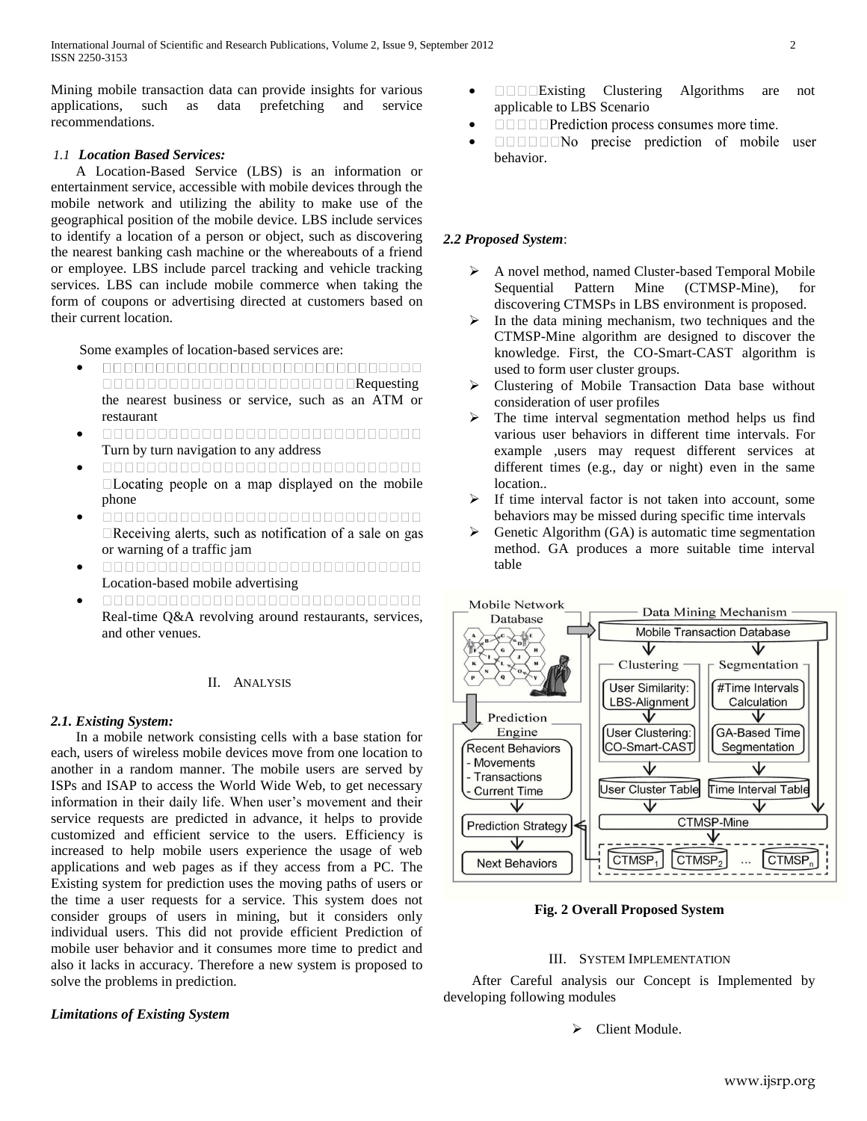Mining mobile transaction data can provide insights for various applications, such as data prefetching and service recommendations.

# *1.1 Location Based Services:*

 A Location-Based Service (LBS) is an information or entertainment service, accessible with mobile devices through the mobile network and utilizing the ability to make use of the geographical position of the mobile device. LBS include services to identify a location of a person or object, such as discovering the nearest banking cash machine or the whereabouts of a friend or employee. LBS include parcel tracking and vehicle tracking services. LBS can include mobile commerce when taking the form of coupons or advertising directed at customers based on their current location.

Some examples of location-based services are:

- $\bullet$ Requesting and a contract a contract of the Requesting the nearest business or service, such as an ATM or restaurant
- $\bullet$ 00000000000000000000000000000 Turn by turn navigation to any address
- $\bullet$ 00000000000000000000000000000  $\Box$  Locating people on a map displayed on the mobile phone
- $\bullet$  $\Box$ Receiving alerts, such as notification of a sale on gas or warning of a traffic jam
- $\bullet$ Location-based mobile advertising
- $\bullet$ 00000000000000000000000000000 Real-time Q&A revolving around restaurants, services, and other venues.

## II. ANALYSIS

## *2.1. Existing System:*

 In a mobile network consisting cells with a base station for each, users of wireless mobile devices move from one location to another in a random manner. The mobile users are served by ISPs and ISAP to access the World Wide Web, to get necessary information in their daily life. When user's movement and their service requests are predicted in advance, it helps to provide customized and efficient service to the users. Efficiency is increased to help mobile users experience the usage of web applications and web pages as if they access from a PC. The Existing system for prediction uses the moving paths of users or the time a user requests for a service. This system does not consider groups of users in mining, but it considers only individual users. This did not provide efficient Prediction of mobile user behavior and it consumes more time to predict and also it lacks in accuracy. Therefore a new system is proposed to solve the problems in prediction.

#### *Limitations of Existing System*

- **Existing Clustering Algorithms are not** applicable to LBS Scenario
- **IIII Prediction process consumes more time.**  $\bullet$
- **IIIIIIN**o precise prediction of mobile user  $\bullet$ behavior.

## *2.2 Proposed System*:

- A novel method, named Cluster-based Temporal Mobile Sequential Pattern Mine (CTMSP-Mine), for discovering CTMSPs in LBS environment is proposed.
- $\triangleright$  In the data mining mechanism, two techniques and the CTMSP-Mine algorithm are designed to discover the knowledge. First, the CO-Smart-CAST algorithm is used to form user cluster groups.
- Clustering of Mobile Transaction Data base without consideration of user profiles
- $\triangleright$  The time interval segmentation method helps us find various user behaviors in different time intervals. For example ,users may request different services at different times (e.g., day or night) even in the same location..
- $\triangleright$  If time interval factor is not taken into account, some behaviors may be missed during specific time intervals
- $\triangleright$  Genetic Algorithm (GA) is automatic time segmentation method. GA produces a more suitable time interval table



**Fig. 2 Overall Proposed System**

#### III. SYSTEM IMPLEMENTATION

After Careful analysis our Concept is Implemented by developing following modules

> Client Module.